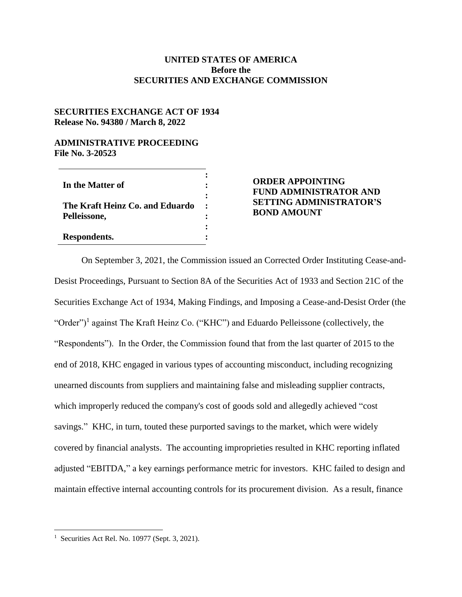## **UNITED STATES OF AMERICA Before the SECURITIES AND EXCHANGE COMMISSION**

## **SECURITIES EXCHANGE ACT OF 1934 Release No. 94380 / March 8, 2022**

## **ADMINISTRATIVE PROCEEDING File No. 3-20523**

| In the Matter of                |  |
|---------------------------------|--|
| The Kraft Heinz Co. and Eduardo |  |
| Pelleissone,                    |  |
| Respondents.                    |  |

## **ORDER APPOINTING FUND ADMINISTRATOR AND SETTING ADMINISTRATOR'S BOND AMOUNT**

On September 3, 2021, the Commission issued an Corrected Order Instituting Cease-and-Desist Proceedings, Pursuant to Section 8A of the Securities Act of 1933 and Section 21C of the Securities Exchange Act of 1934, Making Findings, and Imposing a Cease-and-Desist Order (the "Order")<sup>1</sup> against The Kraft Heinz Co. ("KHC") and Eduardo Pelleissone (collectively, the "Respondents"). In the Order, the Commission found that from the last quarter of 2015 to the end of 2018, KHC engaged in various types of accounting misconduct, including recognizing unearned discounts from suppliers and maintaining false and misleading supplier contracts, which improperly reduced the company's cost of goods sold and allegedly achieved "cost savings." KHC, in turn, touted these purported savings to the market, which were widely covered by financial analysts. The accounting improprieties resulted in KHC reporting inflated adjusted "EBITDA," a key earnings performance metric for investors. KHC failed to design and maintain effective internal accounting controls for its procurement division. As a result, finance

 $\overline{a}$ 

<sup>&</sup>lt;sup>1</sup> Securities Act Rel. No. 10977 (Sept. 3, 2021).